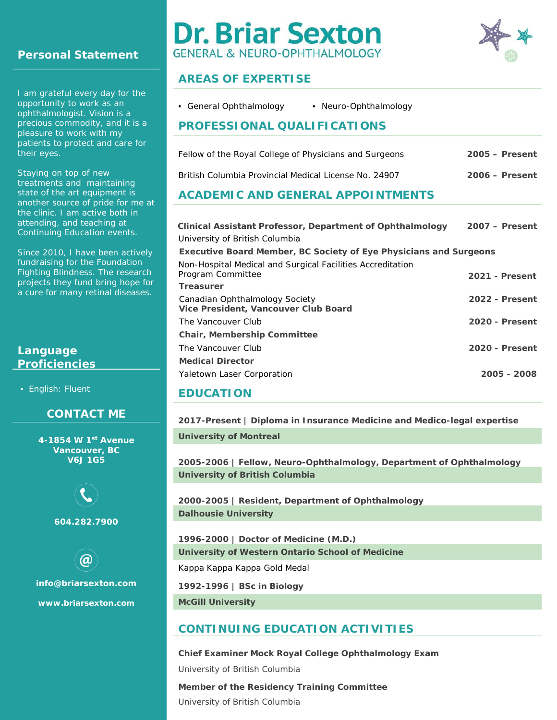# **Personal Statement**

I am grateful every day for the opportunity to work as an ophthalmologist. Vision is a precious commodity, and it is a pleasure to work with my patients to protect and care for their eyes.

Staying on top of new treatments and maintaining state of the art equipment is another source of pride for me at the clinic. I am active both in attending, and teaching at Continuing Education events.

Since 2010, I have been actively fundraising for the Foundation Fighting Blindness. The research projects they fund bring hope for a cure for many retinal diseases.

## **Language Proficiencies**

• English: Fluent

## **CONTACT ME**

**4-1854 W 1st Avenue Vancouver, BC V6J 1G5**



**604.282.7900**

**[info@briarsexton.com](mailto:info@briarsexton.com) [www.briarsexton.com](http://www.briarsexton.com/)**

# **Dr. Briar Sexton GENERAL & NEURO-OPHTHALMOLOGY**



## **AREAS OF EXPERTISE**

|  | • General Ophthalmology | • Neuro-Ophthalmology |  |
|--|-------------------------|-----------------------|--|
|--|-------------------------|-----------------------|--|

## **PROFESSIONAL QUALIFICATIONS**

| Fellow of the Royal College of Physicians and Surgeons | $2005 -$ Present |
|--------------------------------------------------------|------------------|
| British Columbia Provincial Medical License No. 24907  | $2006 -$ Present |

#### **ACADEMIC AND GENERAL APPOINTMENTS**

| Clinical Assistant Professor, Department of Ophthalmology<br>University of British Columbia         | $2007 -$ Present      |
|-----------------------------------------------------------------------------------------------------|-----------------------|
| <b>Executive Board Member, BC Society of Eye Physicians and Surgeons</b>                            |                       |
| Non-Hospital Medical and Surgical Facilities Accreditation<br>Program Committee<br><b>Treasurer</b> | <b>2021 - Present</b> |
| Canadian Ophthalmology Society<br>Vice President, Vancouver Club Board                              | 2022 - Present        |
| The Vancouver Club                                                                                  | 2020 - Present        |
| <b>Chair, Membership Committee</b>                                                                  |                       |
| The Vancouver Club                                                                                  | 2020 - Present        |
| <b>Medical Director</b>                                                                             |                       |
| Yaletown Laser Corporation                                                                          | 2005 - 2008           |

#### **EDUCATION**

**2017-Present | Diploma in Insurance Medicine and Medico-legal expertise**

**University of Montreal**

**2005-2006 | Fellow, Neuro-Ophthalmology, Department of Ophthalmology University of British Columbia**

**2000-2005 | Resident, Department of Ophthalmology Dalhousie University**

**1996-2000 | Doctor of Medicine (M.D.) University of Western Ontario School of Medicine**

Kappa Kappa Kappa Gold Medal

**1992-1996 | BSc in Biology**

**McGill University**

## **CONTINUING EDUCATION ACTIVITIES**

**Chief Examiner Mock Royal College Ophthalmology Exam** University of British Columbia **Member of the Residency Training Committee** University of British Columbia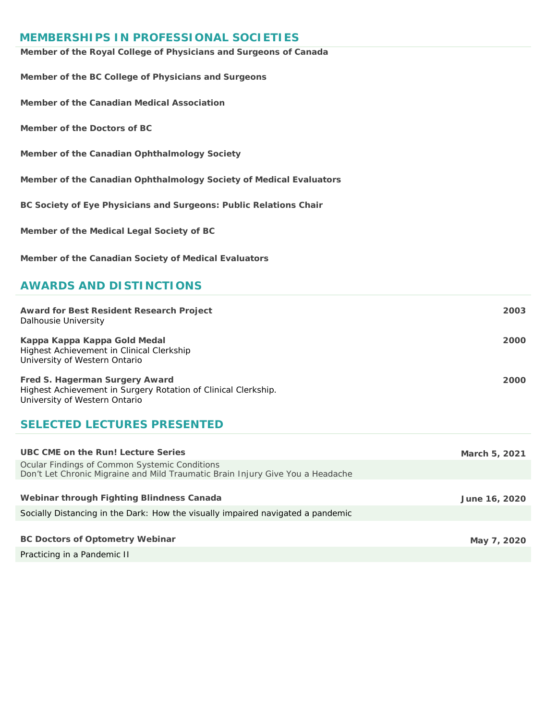## **MEMBERSHIPS IN PROFESSIONAL SOCIETIES**

| Member of the Royal College of Physicians and Surgeons of Canada   |
|--------------------------------------------------------------------|
| Member of the BC College of Physicians and Surgeons                |
| Member of the Canadian Medical Association                         |
| Member of the Doctors of BC                                        |
| Member of the Canadian Ophthalmology Society                       |
| Member of the Canadian Ophthalmology Society of Medical Evaluators |
| BC Society of Eye Physicians and Surgeons: Public Relations Chair  |
| Member of the Medical Legal Society of BC                          |
| Member of the Canadian Society of Medical Evaluators               |

## **AWARDS AND DISTINCTIONS**

| <b>Award for Best Resident Research Project</b><br>Dalhousie University                                                           | 2003 |
|-----------------------------------------------------------------------------------------------------------------------------------|------|
| Kappa Kappa Kappa Gold Medal<br>Highest Achievement in Clinical Clerkship<br>University of Western Ontario                        | 2000 |
| Fred S. Hagerman Surgery Award<br>Highest Achievement in Surgery Rotation of Clinical Clerkship.<br>University of Western Ontario | 2000 |

# **SELECTED LECTURES PRESENTED**

| UBC CME on the Run! Lecture Series                                                                                                     | March 5, 2021 |
|----------------------------------------------------------------------------------------------------------------------------------------|---------------|
| <b>Ocular Findings of Common Systemic Conditions</b><br>Don't Let Chronic Migraine and Mild Traumatic Brain Injury Give You a Headache |               |
|                                                                                                                                        |               |
| Webinar through Fighting Blindness Canada                                                                                              | June 16, 2020 |
| Socially Distancing in the Dark: How the visually impaired navigated a pandemic                                                        |               |
|                                                                                                                                        |               |
| <b>BC Doctors of Optometry Webinar</b>                                                                                                 | May 7, 2020   |
| Practicing in a Pandemic II                                                                                                            |               |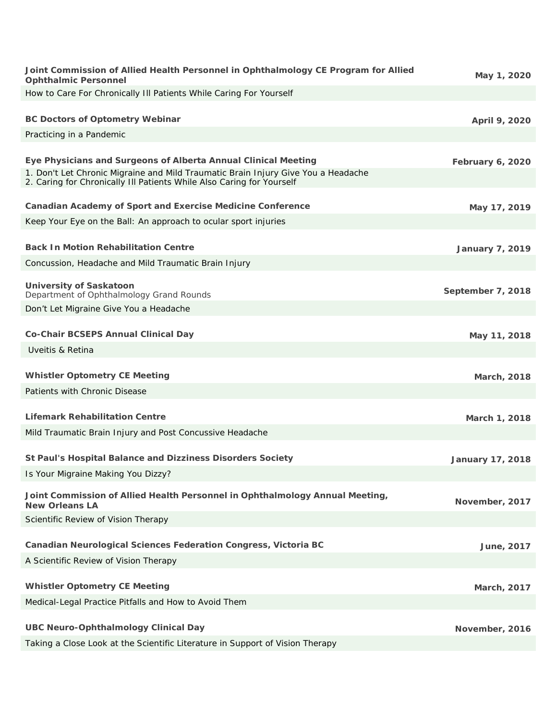| Joint Commission of Allied Health Personnel in Ophthalmology CE Program for Allied<br><b>Ophthalmic Personnel</b>                                          | May 1, 2020             |
|------------------------------------------------------------------------------------------------------------------------------------------------------------|-------------------------|
| How to Care For Chronically III Patients While Caring For Yourself                                                                                         |                         |
|                                                                                                                                                            |                         |
| <b>BC Doctors of Optometry Webinar</b>                                                                                                                     | April 9, 2020           |
| Practicing in a Pandemic                                                                                                                                   |                         |
| Eye Physicians and Surgeons of Alberta Annual Clinical Meeting                                                                                             | <b>February 6, 2020</b> |
| 1. Don't Let Chronic Migraine and Mild Traumatic Brain Injury Give You a Headache<br>2. Caring for Chronically III Patients While Also Caring for Yourself |                         |
| <b>Canadian Academy of Sport and Exercise Medicine Conference</b>                                                                                          | May 17, 2019            |
| Keep Your Eye on the Ball: An approach to ocular sport injuries                                                                                            |                         |
| <b>Back In Motion Rehabilitation Centre</b>                                                                                                                | <b>January 7, 2019</b>  |
| Concussion, Headache and Mild Traumatic Brain Injury                                                                                                       |                         |
|                                                                                                                                                            |                         |
| <b>University of Saskatoon</b><br>Department of Ophthalmology Grand Rounds                                                                                 | September 7, 2018       |
| Don't Let Migraine Give You a Headache                                                                                                                     |                         |
|                                                                                                                                                            |                         |
| Co-Chair BCSEPS Annual Clinical Day                                                                                                                        | May 11, 2018            |
| Uveitis & Retina                                                                                                                                           |                         |
| <b>Whistler Optometry CE Meeting</b>                                                                                                                       | March, 2018             |
| Patients with Chronic Disease                                                                                                                              |                         |
|                                                                                                                                                            |                         |
| <b>Lifemark Rehabilitation Centre</b>                                                                                                                      | March 1, 2018           |
| Mild Traumatic Brain Injury and Post Concussive Headache                                                                                                   |                         |
| St Paul's Hospital Balance and Dizziness Disorders Society                                                                                                 | <b>January 17, 2018</b> |
| Is Your Migraine Making You Dizzy?                                                                                                                         |                         |
| Joint Commission of Allied Health Personnel in Ophthalmology Annual Meeting,                                                                               | November, 2017          |
| <b>New Orleans LA</b><br>Scientific Review of Vision Therapy                                                                                               |                         |
|                                                                                                                                                            |                         |
| <b>Canadian Neurological Sciences Federation Congress, Victoria BC</b>                                                                                     | June, 2017              |
| A Scientific Review of Vision Therapy                                                                                                                      |                         |
|                                                                                                                                                            |                         |
| <b>Whistler Optometry CE Meeting</b>                                                                                                                       | March, 2017             |
| Medical-Legal Practice Pitfalls and How to Avoid Them                                                                                                      |                         |
| <b>UBC Neuro-Ophthalmology Clinical Day</b>                                                                                                                | November, 2016          |
| Taking a Close Look at the Scientific Literature in Support of Vision Therapy                                                                              |                         |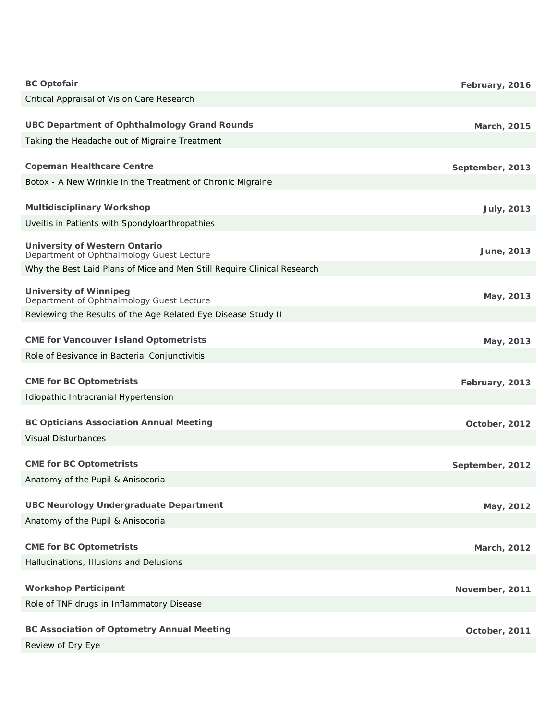| <b>BC Optofair</b>                                                                | February, 2016  |
|-----------------------------------------------------------------------------------|-----------------|
| Critical Appraisal of Vision Care Research                                        |                 |
| <b>UBC Department of Ophthalmology Grand Rounds</b>                               | March, 2015     |
| Taking the Headache out of Migraine Treatment                                     |                 |
| <b>Copeman Healthcare Centre</b>                                                  | September, 2013 |
| Botox - A New Wrinkle in the Treatment of Chronic Migraine                        |                 |
| <b>Multidisciplinary Workshop</b>                                                 | July, 2013      |
| Uveitis in Patients with Spondyloarthropathies                                    |                 |
| <b>University of Western Ontario</b><br>Department of Ophthalmology Guest Lecture | June, 2013      |
| Why the Best Laid Plans of Mice and Men Still Require Clinical Research           |                 |
| <b>University of Winnipeg</b><br>Department of Ophthalmology Guest Lecture        | May, 2013       |
| Reviewing the Results of the Age Related Eye Disease Study II                     |                 |
| <b>CME for Vancouver Island Optometrists</b>                                      | May, 2013       |
| Role of Besivance in Bacterial Conjunctivitis                                     |                 |
| <b>CME for BC Optometrists</b>                                                    | February, 2013  |
| Idiopathic Intracranial Hypertension                                              |                 |
| <b>BC Opticians Association Annual Meeting</b>                                    | October, 2012   |
| <b>Visual Disturbances</b>                                                        |                 |
| <b>CME for BC Optometrists</b>                                                    | September, 2012 |
| Anatomy of the Pupil & Anisocoria                                                 |                 |
| <b>UBC Neurology Undergraduate Department</b>                                     | May, 2012       |
| Anatomy of the Pupil & Anisocoria                                                 |                 |
| <b>CME for BC Optometrists</b>                                                    | March, 2012     |
| Hallucinations, Illusions and Delusions                                           |                 |
| <b>Workshop Participant</b>                                                       | November, 2011  |
| Role of TNF drugs in Inflammatory Disease                                         |                 |
| <b>BC Association of Optometry Annual Meeting</b>                                 | October, 2011   |
| Review of Dry Eye                                                                 |                 |
|                                                                                   |                 |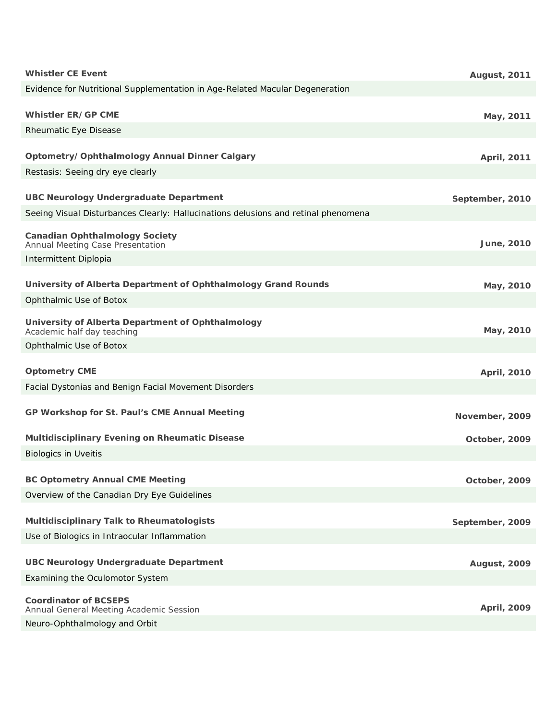| <b>Whistler CE Event</b>                                                           | <b>August, 2011</b> |
|------------------------------------------------------------------------------------|---------------------|
| Evidence for Nutritional Supplementation in Age-Related Macular Degeneration       |                     |
|                                                                                    |                     |
| <b>Whistler ER/GP CME</b>                                                          | May, 2011           |
| <b>Rheumatic Eye Disease</b>                                                       |                     |
| Optometry/Ophthalmology Annual Dinner Calgary                                      | April, 2011         |
| Restasis: Seeing dry eye clearly                                                   |                     |
|                                                                                    |                     |
| <b>UBC Neurology Undergraduate Department</b>                                      | September, 2010     |
| Seeing Visual Disturbances Clearly: Hallucinations delusions and retinal phenomena |                     |
| <b>Canadian Ophthalmology Society</b>                                              |                     |
| Annual Meeting Case Presentation                                                   | June, 2010          |
| Intermittent Diplopia                                                              |                     |
| University of Alberta Department of Ophthalmology Grand Rounds                     | May, 2010           |
| Ophthalmic Use of Botox                                                            |                     |
|                                                                                    |                     |
| University of Alberta Department of Ophthalmology<br>Academic half day teaching    | May, 2010           |
| Ophthalmic Use of Botox                                                            |                     |
| <b>Optometry CME</b>                                                               | April, 2010         |
| Facial Dystonias and Benign Facial Movement Disorders                              |                     |
|                                                                                    |                     |
| GP Workshop for St. Paul's CME Annual Meeting                                      | November, 2009      |
|                                                                                    |                     |
| Multidisciplinary Evening on Rheumatic Disease                                     | October, 2009       |
| <b>Biologics in Uveitis</b>                                                        |                     |
| <b>BC Optometry Annual CME Meeting</b>                                             | October, 2009       |
| Overview of the Canadian Dry Eye Guidelines                                        |                     |
|                                                                                    |                     |
| Multidisciplinary Talk to Rheumatologists                                          | September, 2009     |
| Use of Biologics in Intraocular Inflammation                                       |                     |
| <b>UBC Neurology Undergraduate Department</b>                                      |                     |
| <b>Examining the Oculomotor System</b>                                             | <b>August, 2009</b> |
|                                                                                    |                     |
| <b>Coordinator of BCSEPS</b><br>Annual General Meeting Academic Session            | April, 2009         |
| Neuro-Ophthalmology and Orbit                                                      |                     |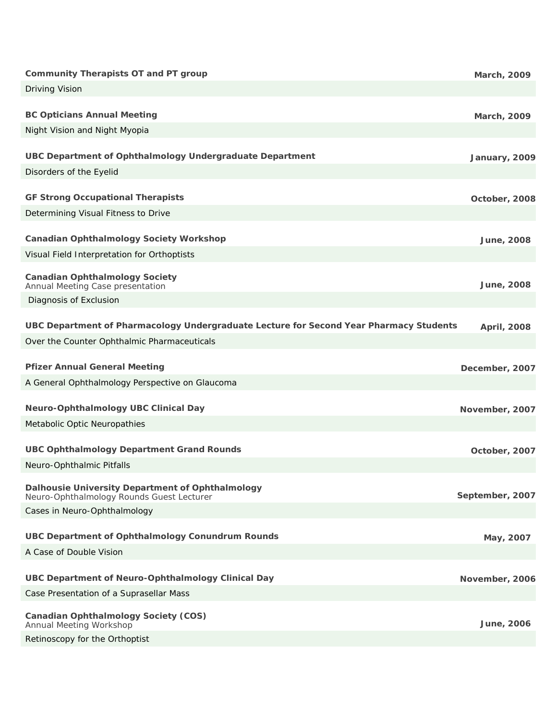| <b>Community Therapists OT and PT group</b>                                                   | March, 2009     |
|-----------------------------------------------------------------------------------------------|-----------------|
| Driving Vision                                                                                |                 |
|                                                                                               |                 |
| <b>BC Opticians Annual Meeting</b>                                                            | March, 2009     |
| Night Vision and Night Myopia                                                                 |                 |
| <b>UBC Department of Ophthalmology Undergraduate Department</b>                               | January, 2009   |
| Disorders of the Eyelid                                                                       |                 |
| <b>GF Strong Occupational Therapists</b>                                                      | October, 2008   |
| Determining Visual Fitness to Drive                                                           |                 |
|                                                                                               |                 |
| <b>Canadian Ophthalmology Society Workshop</b>                                                | June, 2008      |
| Visual Field Interpretation for Orthoptists                                                   |                 |
| <b>Canadian Ophthalmology Society</b><br>Annual Meeting Case presentation                     | June, 2008      |
| Diagnosis of Exclusion                                                                        |                 |
|                                                                                               |                 |
| UBC Department of Pharmacology Undergraduate Lecture for Second Year Pharmacy Students        | April, 2008     |
| Over the Counter Ophthalmic Pharmaceuticals                                                   |                 |
|                                                                                               |                 |
| <b>Pfizer Annual General Meeting</b>                                                          | December, 2007  |
| A General Ophthalmology Perspective on Glaucoma                                               |                 |
| <b>Neuro-Ophthalmology UBC Clinical Day</b>                                                   | November, 2007  |
| Metabolic Optic Neuropathies                                                                  |                 |
|                                                                                               |                 |
| <b>UBC Ophthalmology Department Grand Rounds</b>                                              | October, 2007   |
| Neuro-Ophthalmic Pitfalls                                                                     |                 |
| Dalhousie University Department of Ophthalmology<br>Neuro-Ophthalmology Rounds Guest Lecturer | September, 2007 |
| Cases in Neuro-Ophthalmology                                                                  |                 |
|                                                                                               |                 |
| <b>UBC Department of Ophthalmology Conundrum Rounds</b>                                       | May, 2007       |
| A Case of Double Vision                                                                       |                 |
| UBC Department of Neuro-Ophthalmology Clinical Day                                            | November, 2006  |
| Case Presentation of a Suprasellar Mass                                                       |                 |
| <b>Canadian Ophthalmology Society (COS)</b>                                                   | June, 2006      |
| Annual Meeting Workshop<br>Retinoscopy for the Orthoptist                                     |                 |
|                                                                                               |                 |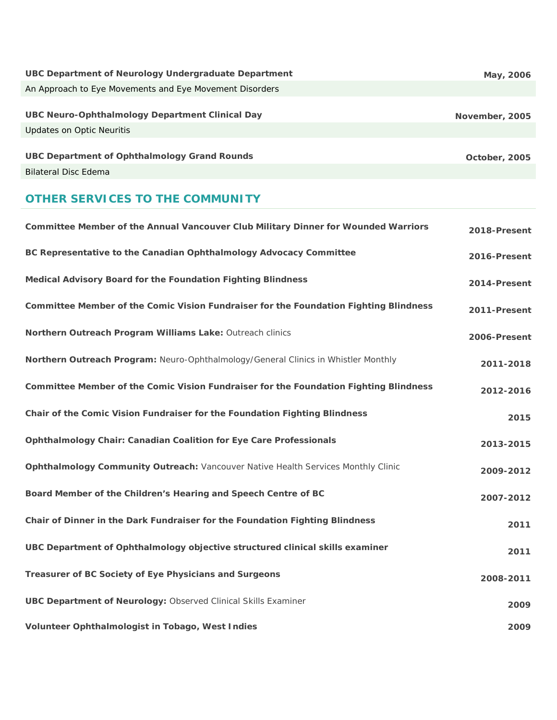| UBC Department of Neurology Undergraduate Department                         | May, 2006      |
|------------------------------------------------------------------------------|----------------|
| An Approach to Eye Movements and Eye Movement Disorders                      |                |
| UBC Neuro-Ophthalmology Department Clinical Day<br>Updates on Optic Neuritis | November, 2005 |
| UBC Department of Ophthalmology Grand Rounds                                 |                |
|                                                                              | October, 2005  |
| <b>Bilateral Disc Edema</b>                                                  |                |

# **OTHER SERVICES TO THE COMMUNITY**

| Committee Member of the Annual Vancouver Club Military Dinner for Wounded Warriors    | 2018-Present |
|---------------------------------------------------------------------------------------|--------------|
| BC Representative to the Canadian Ophthalmology Advocacy Committee                    | 2016-Present |
| Medical Advisory Board for the Foundation Fighting Blindness                          | 2014-Present |
| Committee Member of the Comic Vision Fundraiser for the Foundation Fighting Blindness | 2011-Present |
| Northern Outreach Program Williams Lake: Outreach clinics                             | 2006-Present |
| Northern Outreach Program: Neuro-Ophthalmology/General Clinics in Whistler Monthly    | 2011-2018    |
| Committee Member of the Comic Vision Fundraiser for the Foundation Fighting Blindness | 2012-2016    |
| Chair of the Comic Vision Fundraiser for the Foundation Fighting Blindness            | 2015         |
| <b>Ophthalmology Chair: Canadian Coalition for Eye Care Professionals</b>             | 2013-2015    |
| Ophthalmology Community Outreach: Vancouver Native Health Services Monthly Clinic     | 2009-2012    |
| Board Member of the Children's Hearing and Speech Centre of BC                        | 2007-2012    |
| Chair of Dinner in the Dark Fundraiser for the Foundation Fighting Blindness          | 2011         |
| UBC Department of Ophthalmology objective structured clinical skills examiner         | 2011         |
| Treasurer of BC Society of Eye Physicians and Surgeons                                | 2008-2011    |
| <b>UBC Department of Neurology: Observed Clinical Skills Examiner</b>                 | 2009         |
| Volunteer Ophthalmologist in Tobago, West Indies                                      | 2009         |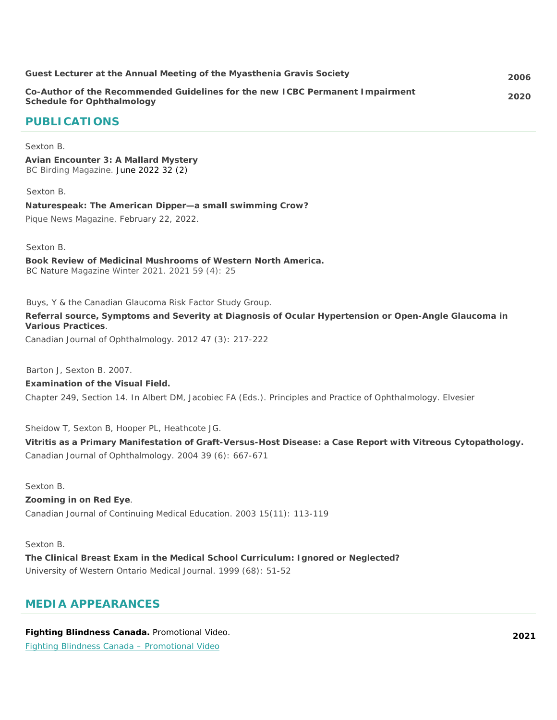| Guest Lecturer at the Annual Meeting of the Myasthenia Gravis Society                                       | 2006 |
|-------------------------------------------------------------------------------------------------------------|------|
| Co-Author of the Recommended Guidelines for the new ICBC Permanent Impairment<br>Schedule for Ophthalmology | 2020 |

## **PUBLICATIONS**

#### Sexton B.

**Avian Encounter 3: A Mallard Mystery**  [BC Birding Magazine.](https://briarsexton.com/wp-content/uploads/june2022_BCFO-Mallard-article.pdf) June 2022 32 (2)

#### Sexton B.

**Naturespeak: The American Dipper—a small swimming Crow?**  [Pique News Magazine.](https://www.piquenewsmagazine.com/local-news/naturespeak-the-american-dippera-small-swimming-crow-5077721) February 22, 2022.

Sexton B.

**Book Review of Medicinal Mushrooms of Western North America.** BC Nature Magazine Winter 2021. 2021 59 (4): 25

Buys, Y & the Canadian Glaucoma Risk Factor Study Group.

**Referral source, Symptoms and Severity at Diagnosis of Ocular Hypertension or Open-Angle Glaucoma in Various Practices**.

Canadian Journal of Ophthalmology. 2012 47 (3): 217-222

Barton J, Sexton B. 2007.

#### **Examination of the Visual Field.**

Chapter 249, Section 14. In Albert DM, Jacobiec FA (Eds.). Principles and Practice of Ophthalmology. Elvesier

Sheidow T, Sexton B, Hooper PL, Heathcote JG.

**Vitritis as a Primary Manifestation of Graft-Versus-Host Disease: a Case Report with Vitreous Cytopathology.** Canadian Journal of Ophthalmology. 2004 39 (6): 667-671

Sexton B.

#### **Zooming in on Red Eye**.

Canadian Journal of Continuing Medical Education. 2003 15(11): 113-119

Sexton B.

**The Clinical Breast Exam in the Medical School Curriculum: Ignored or Neglected?** University of Western Ontario Medical Journal. 1999 (68): 51-52

## **MEDIA APPEARANCES**

**Fighting Blindness Canada.** *Promotional Video.*  Fighting Blindness Canada – [Promotional](https://vimeo.com/626675501/266e6988a0) Video